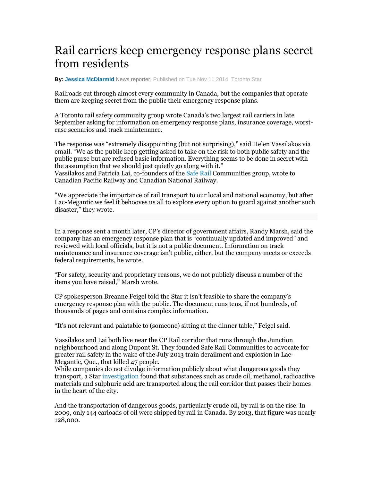## Rail carriers keep emergency response plans secret from residents

**By: Jessica McDiarmid** News reporter, Published on Tue Nov 11 2014 Toronto Star

Railroads cut through almost every community in Canada, but the companies that operate them are keeping secret from the public their emergency response plans.

A Toronto rail safety community group wrote Canada's two largest rail carriers in late September asking for information on emergency response plans, insurance coverage, worstcase scenarios and track maintenance.

The response was "extremely disappointing (but not surprising)," said Helen Vassilakos via email. "We as the public keep getting asked to take on the risk to both public safety and the public purse but are refused basic information. Everything seems to be done in secret with the assumption that we should just quietly go along with it." Vassilakos and Patricia Lai, co-founders of the Safe Rail Communities group, wrote to Canadian Pacific Railway and Canadian National Railway.

"We appreciate the importance of rail transport to our local and national economy, but after Lac-Megantic we feel it behooves us all to explore every option to guard against another such disaster," they wrote.

In a response sent a month later, CP's director of government affairs, Randy Marsh, said the company has an emergency response plan that is "continually updated and improved" and reviewed with local officials, but it is not a public document. Information on track maintenance and insurance coverage isn't public, either, but the company meets or exceeds federal requirements, he wrote.

"For safety, security and proprietary reasons, we do not publicly discuss a number of the items you have raised," Marsh wrote.

CP spokesperson Breanne Feigel told the Star it isn't feasible to share the company's emergency response plan with the public. The document runs tens, if not hundreds, of thousands of pages and contains complex information.

"It's not relevant and palatable to (someone) sitting at the dinner table," Feigel said.

Vassilakos and Lai both live near the CP Rail corridor that runs through the Junction neighbourhood and along Dupont St. They founded Safe Rail Communities to advocate for greater rail safety in the wake of the July 2013 train derailment and explosion in Lac-Megantic, Que., that killed 47 people.

While companies do not divulge information publicly about what dangerous goods they transport, a Star investigation found that substances such as crude oil, methanol, radioactive materials and sulphuric acid are transported along the rail corridor that passes their homes in the heart of the city.

And the transportation of dangerous goods, particularly crude oil, by rail is on the rise. In 2009, only 144 carloads of oil were shipped by rail in Canada. By 2013, that figure was nearly 128,000.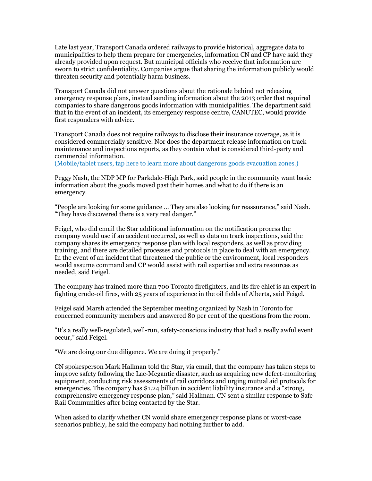Late last year, Transport Canada ordered railways to provide historical, aggregate data to municipalities to help them prepare for emergencies, information CN and CP have said they already provided upon request. But municipal officials who receive that information are sworn to strict confidentiality. Companies argue that sharing the information publicly would threaten security and potentially harm business.

Transport Canada did not answer questions about the rationale behind not releasing emergency response plans, instead sending information about the 2013 order that required companies to share dangerous goods information with municipalities. The department said that in the event of an incident, its emergency response centre, CANUTEC, would provide first responders with advice.

Transport Canada does not require railways to disclose their insurance coverage, as it is considered commercially sensitive. Nor does the department release information on track maintenance and inspections reports, as they contain what is considered third-party and commercial information.

(Mobile/tablet users, tap here to learn more about dangerous goods evacuation zones.)

Peggy Nash, the NDP MP for Parkdale-High Park, said people in the community want basic information about the goods moved past their homes and what to do if there is an emergency.

"People are looking for some guidance ... They are also looking for reassurance," said Nash. "They have discovered there is a very real danger."

Feigel, who did email the Star additional information on the notification process the company would use if an accident occurred, as well as data on track inspections, said the company shares its emergency response plan with local responders, as well as providing training, and there are detailed processes and protocols in place to deal with an emergency. In the event of an incident that threatened the public or the environment, local responders would assume command and CP would assist with rail expertise and extra resources as needed, said Feigel.

The company has trained more than 700 Toronto firefighters, and its fire chief is an expert in fighting crude-oil fires, with 25 years of experience in the oil fields of Alberta, said Feigel.

Feigel said Marsh attended the September meeting organized by Nash in Toronto for concerned community members and answered 80 per cent of the questions from the room.

"It's a really well-regulated, well-run, safety-conscious industry that had a really awful event occur," said Feigel.

"We are doing our due diligence. We are doing it properly."

CN spokesperson Mark Hallman told the Star, via email, that the company has taken steps to improve safety following the Lac-Megantic disaster, such as acquiring new defect-monitoring equipment, conducting risk assessments of rail corridors and urging mutual aid protocols for emergencies. The company has \$1.24 billion in accident liability insurance and a "strong, comprehensive emergency response plan," said Hallman. CN sent a similar response to Safe Rail Communities after being contacted by the Star.

When asked to clarify whether CN would share emergency response plans or worst-case scenarios publicly, he said the company had nothing further to add.